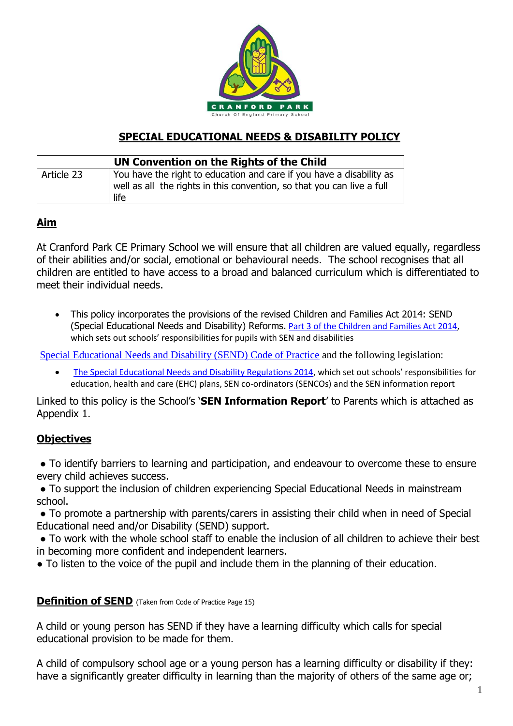

## **SPECIAL EDUCATIONAL NEEDS & DISABILITY POLICY**

| UN Convention on the Rights of the Child |                                                                                                                                                        |
|------------------------------------------|--------------------------------------------------------------------------------------------------------------------------------------------------------|
| Article 23                               | You have the right to education and care if you have a disability as<br>well as all the rights in this convention, so that you can live a full<br>life |

#### **Aim**

At Cranford Park CE Primary School we will ensure that all children are valued equally, regardless of their abilities and/or social, emotional or behavioural needs. The school recognises that all children are entitled to have access to a broad and balanced curriculum which is differentiated to meet their individual needs.

• This policy incorporates the provisions of the revised Children and Families Act 2014: SEND (Special Educational Needs and Disability) Reforms. [Part 3 of the Children and Families Act 2014,](http://www.legislation.gov.uk/ukpga/2014/6/part/3) which sets out schools' responsibilities for pupils with SEN and disabilities

[Special Educational Needs and Disability \(SEND\) Code of Practice](https://www.gov.uk/government/uploads/system/uploads/attachment_data/file/398815/SEND_Code_of_Practice_January_2015.pdf) and the following legislation:

• [The Special Educational Needs and Disability Regulations 2014](http://www.legislation.gov.uk/uksi/2014/1530/contents/made), which set out schools' responsibilities for education, health and care (EHC) plans, SEN co-ordinators (SENCOs) and the SEN information report

Linked to this policy is the School's '**SEN Information Report**' to Parents which is attached as Appendix 1.

#### **Objectives**

• To identify barriers to learning and participation, and endeavour to overcome these to ensure every child achieves success.

● To support the inclusion of children experiencing Special Educational Needs in mainstream school.

• To promote a partnership with parents/carers in assisting their child when in need of Special Educational need and/or Disability (SEND) support.

● To work with the whole school staff to enable the inclusion of all children to achieve their best in becoming more confident and independent learners.

● To listen to the voice of the pupil and include them in the planning of their education.

#### **Definition of SEND** (Taken from Code of Practice Page 15)

A child or young person has SEND if they have a learning difficulty which calls for special educational provision to be made for them.

A child of compulsory school age or a young person has a learning difficulty or disability if they: have a significantly greater difficulty in learning than the majority of others of the same age or;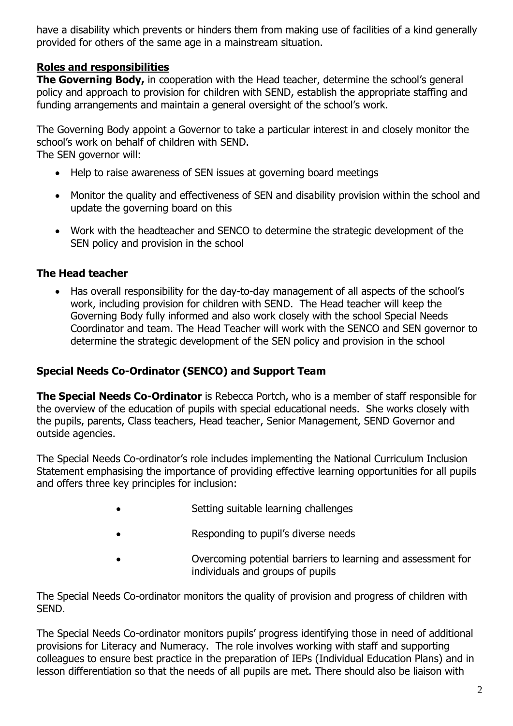have a disability which prevents or hinders them from making use of facilities of a kind generally provided for others of the same age in a mainstream situation.

## **Roles and responsibilities**

**The Governing Body,** in cooperation with the Head teacher, determine the school's general policy and approach to provision for children with SEND, establish the appropriate staffing and funding arrangements and maintain a general oversight of the school's work.

The Governing Body appoint a Governor to take a particular interest in and closely monitor the school's work on behalf of children with SEND. The SEN governor will:

- Help to raise awareness of SEN issues at governing board meetings
- Monitor the quality and effectiveness of SEN and disability provision within the school and update the governing board on this
- Work with the headteacher and SENCO to determine the strategic development of the SEN policy and provision in the school

## **The Head teacher**

• Has overall responsibility for the day-to-day management of all aspects of the school's work, including provision for children with SEND. The Head teacher will keep the Governing Body fully informed and also work closely with the school Special Needs Coordinator and team. The Head Teacher will work with the SENCO and SEN governor to determine the strategic development of the SEN policy and provision in the school

## **Special Needs Co-Ordinator (SENCO) and Support Team**

**The Special Needs Co-Ordinator** is Rebecca Portch, who is a member of staff responsible for the overview of the education of pupils with special educational needs. She works closely with the pupils, parents, Class teachers, Head teacher, Senior Management, SEND Governor and outside agencies.

The Special Needs Co-ordinator's role includes implementing the National Curriculum Inclusion Statement emphasising the importance of providing effective learning opportunities for all pupils and offers three key principles for inclusion:

- Setting suitable learning challenges
- Responding to pupil's diverse needs
- Overcoming potential barriers to learning and assessment for individuals and groups of pupils

The Special Needs Co-ordinator monitors the quality of provision and progress of children with SEND.

The Special Needs Co-ordinator monitors pupils' progress identifying those in need of additional provisions for Literacy and Numeracy. The role involves working with staff and supporting colleagues to ensure best practice in the preparation of IEPs (Individual Education Plans) and in lesson differentiation so that the needs of all pupils are met. There should also be liaison with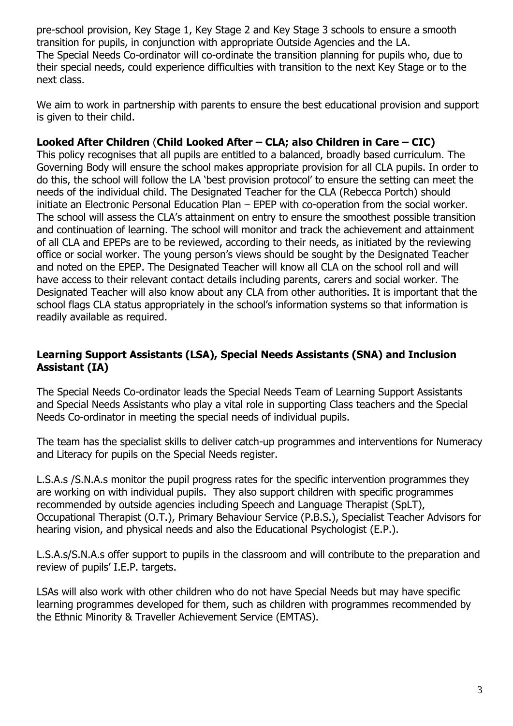pre-school provision, Key Stage 1, Key Stage 2 and Key Stage 3 schools to ensure a smooth transition for pupils, in conjunction with appropriate Outside Agencies and the LA. The Special Needs Co-ordinator will co-ordinate the transition planning for pupils who, due to their special needs, could experience difficulties with transition to the next Key Stage or to the next class.

We aim to work in partnership with parents to ensure the best educational provision and support is given to their child.

#### **Looked After Children** (**Child Looked After – CLA; also Children in Care – CIC)**

This policy recognises that all pupils are entitled to a balanced, broadly based curriculum. The Governing Body will ensure the school makes appropriate provision for all CLA pupils. In order to do this, the school will follow the LA 'best provision protocol' to ensure the setting can meet the needs of the individual child. The Designated Teacher for the CLA (Rebecca Portch) should initiate an Electronic Personal Education Plan – EPEP with co-operation from the social worker. The school will assess the CLA's attainment on entry to ensure the smoothest possible transition and continuation of learning. The school will monitor and track the achievement and attainment of all CLA and EPEPs are to be reviewed, according to their needs, as initiated by the reviewing office or social worker. The young person's views should be sought by the Designated Teacher and noted on the EPEP. The Designated Teacher will know all CLA on the school roll and will have access to their relevant contact details including parents, carers and social worker. The Designated Teacher will also know about any CLA from other authorities. It is important that the school flags CLA status appropriately in the school's information systems so that information is readily available as required.

#### **Learning Support Assistants (LSA), Special Needs Assistants (SNA) and Inclusion Assistant (IA)**

The Special Needs Co-ordinator leads the Special Needs Team of Learning Support Assistants and Special Needs Assistants who play a vital role in supporting Class teachers and the Special Needs Co-ordinator in meeting the special needs of individual pupils.

The team has the specialist skills to deliver catch-up programmes and interventions for Numeracy and Literacy for pupils on the Special Needs register.

L.S.A.s /S.N.A.s monitor the pupil progress rates for the specific intervention programmes they are working on with individual pupils. They also support children with specific programmes recommended by outside agencies including Speech and Language Therapist (SpLT), Occupational Therapist (O.T.), Primary Behaviour Service (P.B.S.), Specialist Teacher Advisors for hearing vision, and physical needs and also the Educational Psychologist (E.P.).

L.S.A.s/S.N.A.s offer support to pupils in the classroom and will contribute to the preparation and review of pupils' I.E.P. targets.

LSAs will also work with other children who do not have Special Needs but may have specific learning programmes developed for them, such as children with programmes recommended by the Ethnic Minority & Traveller Achievement Service (EMTAS).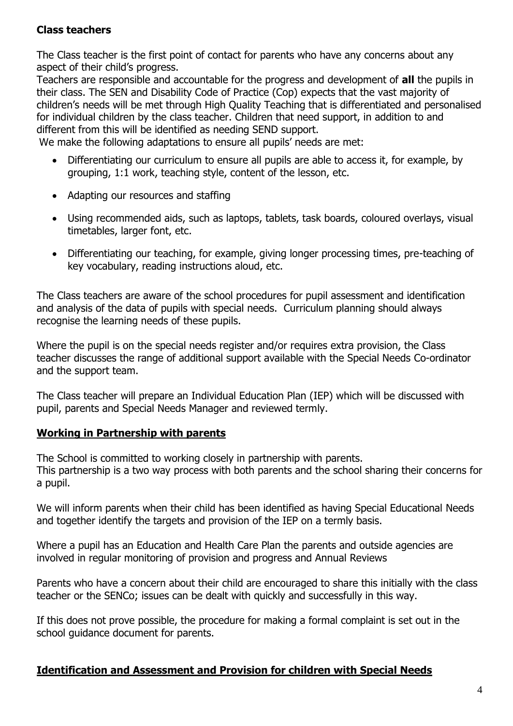## **Class teachers**

The Class teacher is the first point of contact for parents who have any concerns about any aspect of their child's progress.

Teachers are responsible and accountable for the progress and development of **all** the pupils in their class. The SEN and Disability Code of Practice (Cop) expects that the vast majority of children's needs will be met through High Quality Teaching that is differentiated and personalised for individual children by the class teacher. Children that need support, in addition to and different from this will be identified as needing SEND support.

We make the following adaptations to ensure all pupils' needs are met:

- Differentiating our curriculum to ensure all pupils are able to access it, for example, by grouping, 1:1 work, teaching style, content of the lesson, etc.
- Adapting our resources and staffing
- Using recommended aids, such as laptops, tablets, task boards, coloured overlays, visual timetables, larger font, etc.
- Differentiating our teaching, for example, giving longer processing times, pre-teaching of key vocabulary, reading instructions aloud, etc.

The Class teachers are aware of the school procedures for pupil assessment and identification and analysis of the data of pupils with special needs. Curriculum planning should always recognise the learning needs of these pupils.

Where the pupil is on the special needs register and/or requires extra provision, the Class teacher discusses the range of additional support available with the Special Needs Co-ordinator and the support team.

The Class teacher will prepare an Individual Education Plan (IEP) which will be discussed with pupil, parents and Special Needs Manager and reviewed termly.

## **Working in Partnership with parents**

The School is committed to working closely in partnership with parents.

This partnership is a two way process with both parents and the school sharing their concerns for a pupil.

We will inform parents when their child has been identified as having Special Educational Needs and together identify the targets and provision of the IEP on a termly basis.

Where a pupil has an Education and Health Care Plan the parents and outside agencies are involved in regular monitoring of provision and progress and Annual Reviews

Parents who have a concern about their child are encouraged to share this initially with the class teacher or the SENCo; issues can be dealt with quickly and successfully in this way.

If this does not prove possible, the procedure for making a formal complaint is set out in the school guidance document for parents.

## **Identification and Assessment and Provision for children with Special Needs**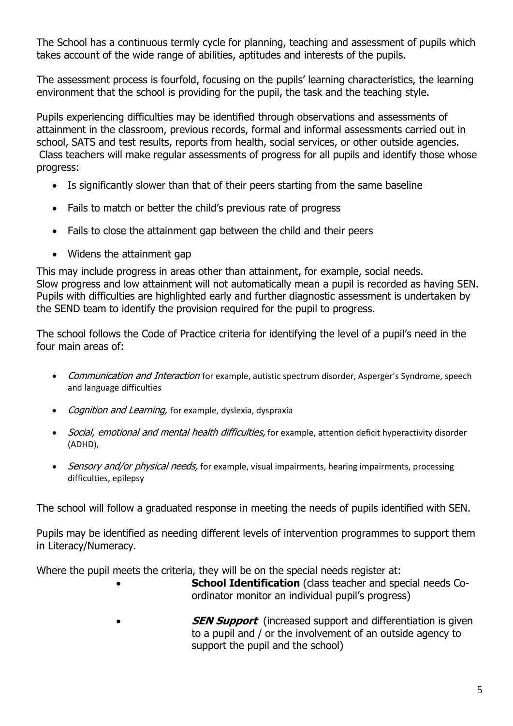The School has a continuous termly cycle for planning, teaching and assessment of pupils which takes account of the wide range of abilities, aptitudes and interests of the pupils.

The assessment process is fourfold, focusing on the pupils' learning characteristics, the learning environment that the school is providing for the pupil, the task and the teaching style.

Pupils experiencing difficulties may be identified through observations and assessments of attainment in the classroom, previous records, formal and informal assessments carried out in school, SATS and test results, reports from health, social services, or other outside agencies. Class teachers will make regular assessments of progress for all pupils and identify those whose progress:

- Is significantly slower than that of their peers starting from the same baseline
- Fails to match or better the child's previous rate of progress
- Fails to close the attainment gap between the child and their peers
- Widens the attainment gap

This may include progress in areas other than attainment, for example, social needs. Slow progress and low attainment will not automatically mean a pupil is recorded as having SEN. Pupils with difficulties are highlighted early and further diagnostic assessment is undertaken by the SEND team to identify the provision required for the pupil to progress.

The school follows the Code of Practice criteria for identifying the level of a pupil's need in the four main areas of:

- Communication and Interaction for example, autistic spectrum disorder, Asperger's Syndrome, speech and language difficulties
- Cognition and Learning, for example, dyslexia, dyspraxia
- Social, emotional and mental health difficulties, for example, attention deficit hyperactivity disorder (ADHD),
- Sensory and/or physical needs, for example, visual impairments, hearing impairments, processing difficulties, epilepsy

The school will follow a graduated response in meeting the needs of pupils identified with SEN.

Pupils may be identified as needing different levels of intervention programmes to support them in Literacy/Numeracy.

Where the pupil meets the criteria, they will be on the special needs register at:

- **School Identification** (class teacher and special needs Coordinator monitor an individual pupil's progress)
- **SEN Support** (increased support and differentiation is given to a pupil and / or the involvement of an outside agency to support the pupil and the school)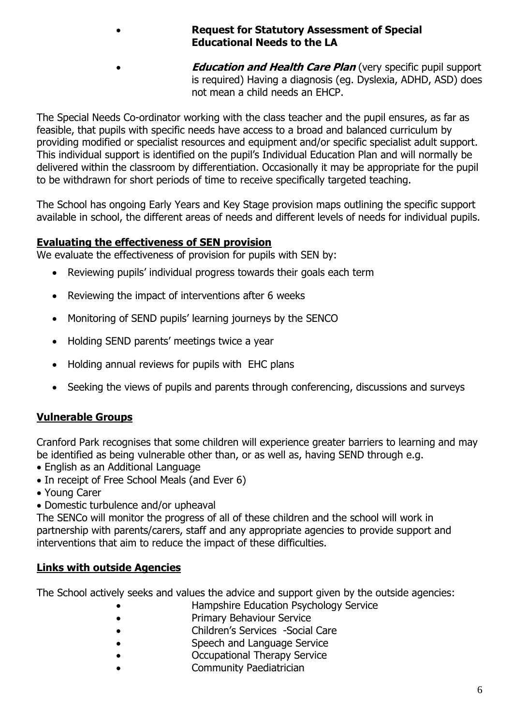- **Request for Statutory Assessment of Special Educational Needs to the LA**
	- *Education and Health Care Plan* (very specific pupil support is required) Having a diagnosis (eg. Dyslexia, ADHD, ASD) does not mean a child needs an EHCP.

The Special Needs Co-ordinator working with the class teacher and the pupil ensures, as far as feasible, that pupils with specific needs have access to a broad and balanced curriculum by providing modified or specialist resources and equipment and/or specific specialist adult support. This individual support is identified on the pupil's Individual Education Plan and will normally be delivered within the classroom by differentiation. Occasionally it may be appropriate for the pupil to be withdrawn for short periods of time to receive specifically targeted teaching.

The School has ongoing Early Years and Key Stage provision maps outlining the specific support available in school, the different areas of needs and different levels of needs for individual pupils.

## **Evaluating the effectiveness of SEN provision**

We evaluate the effectiveness of provision for pupils with SEN by:

- Reviewing pupils' individual progress towards their goals each term
- Reviewing the impact of interventions after 6 weeks
- Monitoring of SEND pupils' learning journeys by the SENCO
- Holding SEND parents' meetings twice a year
- Holding annual reviews for pupils with EHC plans
- Seeking the views of pupils and parents through conferencing, discussions and surveys

# **Vulnerable Groups**

Cranford Park recognises that some children will experience greater barriers to learning and may be identified as being vulnerable other than, or as well as, having SEND through e.g.

- English as an Additional Language
- In receipt of Free School Meals (and Ever 6)
- Young Carer
- Domestic turbulence and/or upheaval

The SENCo will monitor the progress of all of these children and the school will work in partnership with parents/carers, staff and any appropriate agencies to provide support and interventions that aim to reduce the impact of these difficulties.

# **Links with outside Agencies**

The School actively seeks and values the advice and support given by the outside agencies:

- Hampshire Education Psychology Service
- Primary Behaviour Service
- Children's Services -Social Care
- Speech and Language Service
- Occupational Therapy Service
- Community Paediatrician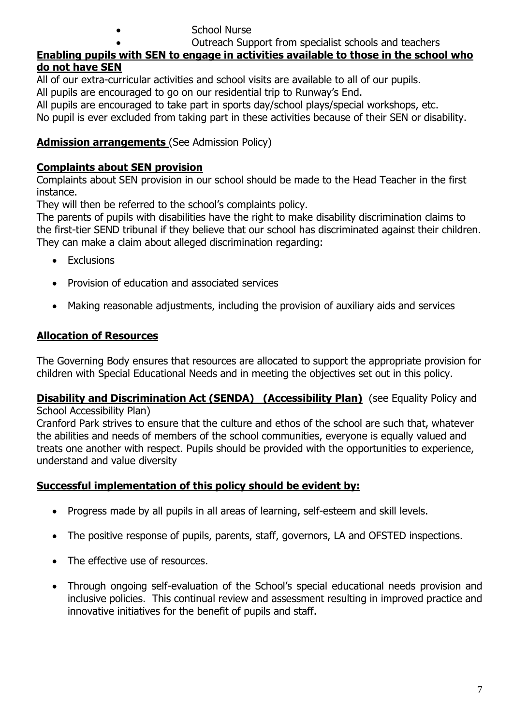• School Nurse

• Outreach Support from specialist schools and teachers

## **Enabling pupils with SEN to engage in activities available to those in the school who do not have SEN**

All of our extra-curricular activities and school visits are available to all of our pupils.

All pupils are encouraged to go on our residential trip to Runway's End.

All pupils are encouraged to take part in sports day/school plays/special workshops, etc.

No pupil is ever excluded from taking part in these activities because of their SEN or disability.

## **Admission arrangements** (See Admission Policy)

## **Complaints about SEN provision**

Complaints about SEN provision in our school should be made to the Head Teacher in the first instance.

They will then be referred to the school's complaints policy.

The parents of pupils with disabilities have the right to make disability discrimination claims to the first-tier SEND tribunal if they believe that our school has discriminated against their children. They can make a claim about alleged discrimination regarding:

- Exclusions
- Provision of education and associated services
- Making reasonable adjustments, including the provision of auxiliary aids and services

## **Allocation of Resources**

The Governing Body ensures that resources are allocated to support the appropriate provision for children with Special Educational Needs and in meeting the objectives set out in this policy.

#### **Disability and Discrimination Act (SENDA) (Accessibility Plan)** (see Equality Policy and School Accessibility Plan)

Cranford Park strives to ensure that the culture and ethos of the school are such that, whatever the abilities and needs of members of the school communities, everyone is equally valued and treats one another with respect. Pupils should be provided with the opportunities to experience, understand and value diversity

## **Successful implementation of this policy should be evident by:**

- Progress made by all pupils in all areas of learning, self-esteem and skill levels.
- The positive response of pupils, parents, staff, governors, LA and OFSTED inspections.
- The effective use of resources.
- Through ongoing self-evaluation of the School's special educational needs provision and inclusive policies. This continual review and assessment resulting in improved practice and innovative initiatives for the benefit of pupils and staff.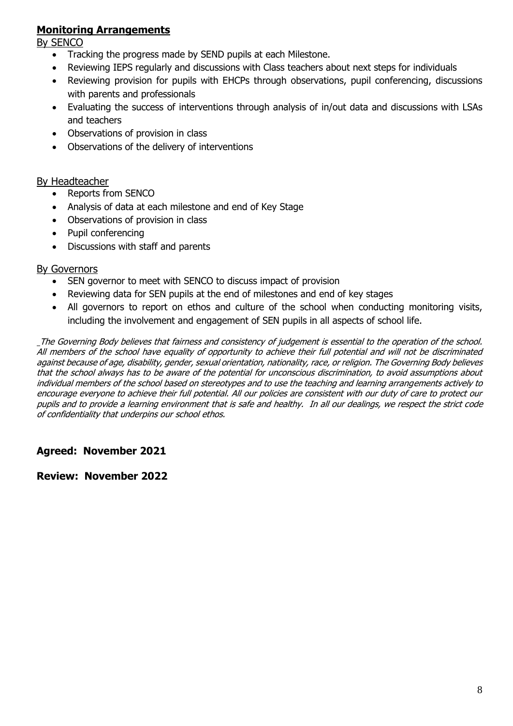### **Monitoring Arrangements**

By SENCO

- Tracking the progress made by SEND pupils at each Milestone.
- Reviewing IEPS regularly and discussions with Class teachers about next steps for individuals
- Reviewing provision for pupils with EHCPs through observations, pupil conferencing, discussions with parents and professionals
- Evaluating the success of interventions through analysis of in/out data and discussions with LSAs and teachers
- Observations of provision in class
- Observations of the delivery of interventions

#### By Headteacher

- Reports from SENCO
- Analysis of data at each milestone and end of Key Stage
- Observations of provision in class
- Pupil conferencing
- Discussions with staff and parents

#### By Governors

- SEN governor to meet with SENCO to discuss impact of provision
- Reviewing data for SEN pupils at the end of milestones and end of key stages
- All governors to report on ethos and culture of the school when conducting monitoring visits, including the involvement and engagement of SEN pupils in all aspects of school life.

The Governing Body believes that fairness and consistency of judgement is essential to the operation of the school. All members of the school have equality of opportunity to achieve their full potential and will not be discriminated against because of age, disability, gender, sexual orientation, nationality, race, or religion. The Governing Body believes that the school always has to be aware of the potential for unconscious discrimination, to avoid assumptions about individual members of the school based on stereotypes and to use the teaching and learning arrangements actively to encourage everyone to achieve their full potential. All our policies are consistent with our duty of care to protect our pupils and to provide a learning environment that is safe and healthy. In all our dealings, we respect the strict code of confidentiality that underpins our school ethos.

#### **Agreed: November 2021**

#### **Review: November 2022**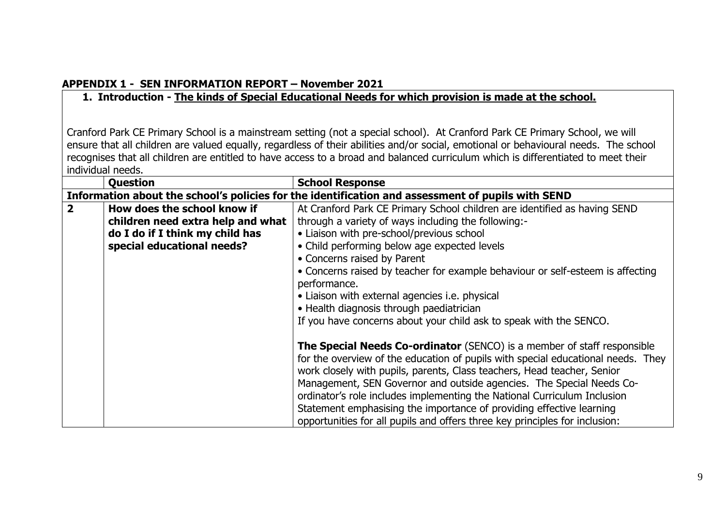#### **APPENDIX 1 - SEN INFORMATION REPORT – November 2021**

## **1. Introduction - The kinds of Special Educational Needs for which provision is made at the school.**

Cranford Park CE Primary School is a mainstream setting (not a special school). At Cranford Park CE Primary School, we will ensure that all children are valued equally, regardless of their abilities and/or social, emotional or behavioural needs. The school recognises that all children are entitled to have access to a broad and balanced curriculum which is differentiated to meet their individual needs.

|                         | <b>Question</b>                   | <b>School Response</b>                                                                                                                                                                                                                                                                                                                                                                                                                                                                                                                            |
|-------------------------|-----------------------------------|---------------------------------------------------------------------------------------------------------------------------------------------------------------------------------------------------------------------------------------------------------------------------------------------------------------------------------------------------------------------------------------------------------------------------------------------------------------------------------------------------------------------------------------------------|
|                         |                                   | Information about the school's policies for the identification and assessment of pupils with SEND                                                                                                                                                                                                                                                                                                                                                                                                                                                 |
| $\overline{\mathbf{2}}$ | How does the school know if       | At Cranford Park CE Primary School children are identified as having SEND                                                                                                                                                                                                                                                                                                                                                                                                                                                                         |
|                         | children need extra help and what | through a variety of ways including the following:-                                                                                                                                                                                                                                                                                                                                                                                                                                                                                               |
|                         | do I do if I think my child has   | • Liaison with pre-school/previous school                                                                                                                                                                                                                                                                                                                                                                                                                                                                                                         |
|                         | special educational needs?        | • Child performing below age expected levels                                                                                                                                                                                                                                                                                                                                                                                                                                                                                                      |
|                         |                                   | • Concerns raised by Parent                                                                                                                                                                                                                                                                                                                                                                                                                                                                                                                       |
|                         |                                   | • Concerns raised by teacher for example behaviour or self-esteem is affecting<br>performance.                                                                                                                                                                                                                                                                                                                                                                                                                                                    |
|                         |                                   | • Liaison with external agencies i.e. physical                                                                                                                                                                                                                                                                                                                                                                                                                                                                                                    |
|                         |                                   | • Health diagnosis through paediatrician                                                                                                                                                                                                                                                                                                                                                                                                                                                                                                          |
|                         |                                   | If you have concerns about your child ask to speak with the SENCO.                                                                                                                                                                                                                                                                                                                                                                                                                                                                                |
|                         |                                   | The Special Needs Co-ordinator (SENCO) is a member of staff responsible<br>for the overview of the education of pupils with special educational needs. They<br>work closely with pupils, parents, Class teachers, Head teacher, Senior<br>Management, SEN Governor and outside agencies. The Special Needs Co-<br>ordinator's role includes implementing the National Curriculum Inclusion<br>Statement emphasising the importance of providing effective learning<br>opportunities for all pupils and offers three key principles for inclusion: |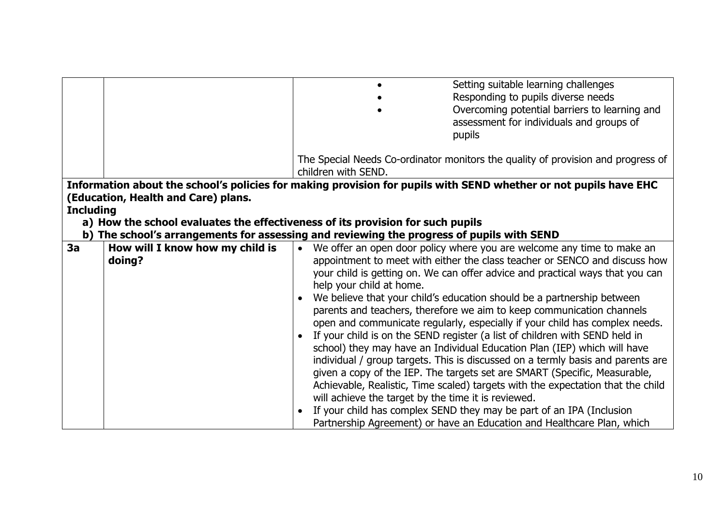|                  |                                     | Setting suitable learning challenges                                                                             |
|------------------|-------------------------------------|------------------------------------------------------------------------------------------------------------------|
|                  |                                     | Responding to pupils diverse needs                                                                               |
|                  |                                     | Overcoming potential barriers to learning and                                                                    |
|                  |                                     | assessment for individuals and groups of                                                                         |
|                  |                                     | pupils                                                                                                           |
|                  |                                     |                                                                                                                  |
|                  |                                     | The Special Needs Co-ordinator monitors the quality of provision and progress of                                 |
|                  |                                     | children with SEND.                                                                                              |
|                  |                                     | Information about the school's policies for making provision for pupils with SEND whether or not pupils have EHC |
|                  | (Education, Health and Care) plans. |                                                                                                                  |
| <b>Including</b> |                                     |                                                                                                                  |
|                  |                                     | a) How the school evaluates the effectiveness of its provision for such pupils                                   |
|                  |                                     | b) The school's arrangements for assessing and reviewing the progress of pupils with SEND                        |
| 3a               | How will I know how my child is     | We offer an open door policy where you are welcome any time to make an<br>$\bullet$                              |
|                  | doing?                              | appointment to meet with either the class teacher or SENCO and discuss how                                       |
|                  |                                     | your child is getting on. We can offer advice and practical ways that you can                                    |
|                  |                                     | help your child at home.                                                                                         |
|                  |                                     | We believe that your child's education should be a partnership between                                           |
|                  |                                     | parents and teachers, therefore we aim to keep communication channels                                            |
|                  |                                     | open and communicate regularly, especially if your child has complex needs.                                      |
|                  |                                     | If your child is on the SEND register (a list of children with SEND held in                                      |
|                  |                                     |                                                                                                                  |
|                  |                                     | school) they may have an Individual Education Plan (IEP) which will have                                         |
|                  |                                     | individual / group targets. This is discussed on a termly basis and parents are                                  |
|                  |                                     | given a copy of the IEP. The targets set are SMART (Specific, Measurable,                                        |
|                  |                                     | Achievable, Realistic, Time scaled) targets with the expectation that the child                                  |
|                  |                                     | will achieve the target by the time it is reviewed.                                                              |
|                  |                                     | If your child has complex SEND they may be part of an IPA (Inclusion                                             |
|                  |                                     | Partnership Agreement) or have an Education and Healthcare Plan, which                                           |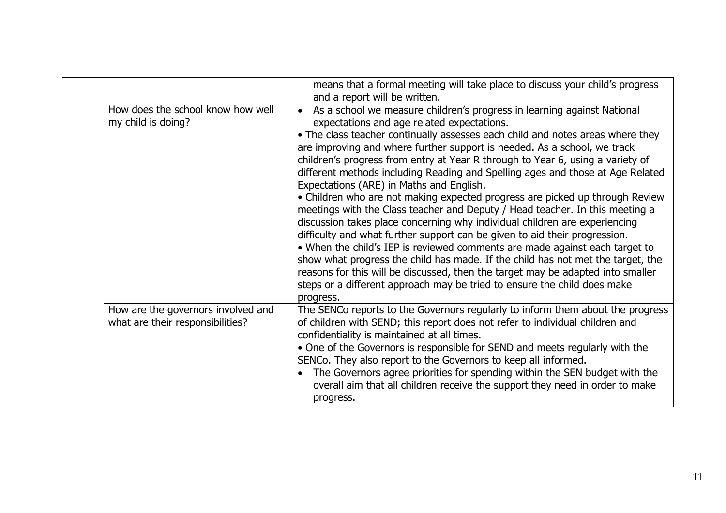|                                                                        | means that a formal meeting will take place to discuss your child's progress<br>and a report will be written.                                                                                                                                                                                                                                                                                                                                                                                                                                                                                                                                                                                                                                                                                                                                                                                                                                                                                                                                                                                                                                                                   |
|------------------------------------------------------------------------|---------------------------------------------------------------------------------------------------------------------------------------------------------------------------------------------------------------------------------------------------------------------------------------------------------------------------------------------------------------------------------------------------------------------------------------------------------------------------------------------------------------------------------------------------------------------------------------------------------------------------------------------------------------------------------------------------------------------------------------------------------------------------------------------------------------------------------------------------------------------------------------------------------------------------------------------------------------------------------------------------------------------------------------------------------------------------------------------------------------------------------------------------------------------------------|
| How does the school know how well<br>my child is doing?                | • As a school we measure children's progress in learning against National<br>expectations and age related expectations.<br>• The class teacher continually assesses each child and notes areas where they<br>are improving and where further support is needed. As a school, we track<br>children's progress from entry at Year R through to Year 6, using a variety of<br>different methods including Reading and Spelling ages and those at Age Related<br>Expectations (ARE) in Maths and English.<br>• Children who are not making expected progress are picked up through Review<br>meetings with the Class teacher and Deputy / Head teacher. In this meeting a<br>discussion takes place concerning why individual children are experiencing<br>difficulty and what further support can be given to aid their progression.<br>• When the child's IEP is reviewed comments are made against each target to<br>show what progress the child has made. If the child has not met the target, the<br>reasons for this will be discussed, then the target may be adapted into smaller<br>steps or a different approach may be tried to ensure the child does make<br>progress. |
| How are the governors involved and<br>what are their responsibilities? | The SENCo reports to the Governors regularly to inform them about the progress<br>of children with SEND; this report does not refer to individual children and<br>confidentiality is maintained at all times.<br>• One of the Governors is responsible for SEND and meets regularly with the<br>SENCo. They also report to the Governors to keep all informed.<br>The Governors agree priorities for spending within the SEN budget with the<br>overall aim that all children receive the support they need in order to make<br>progress.                                                                                                                                                                                                                                                                                                                                                                                                                                                                                                                                                                                                                                       |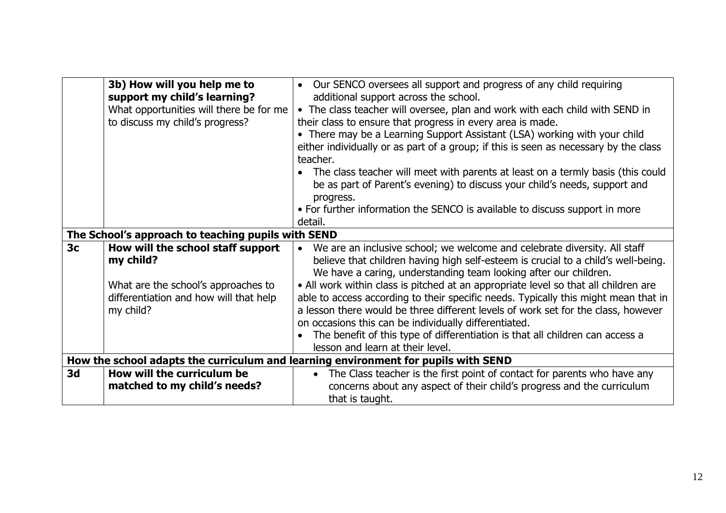|                | 3b) How will you help me to<br>support my child's learning?<br>What opportunities will there be for me<br>to discuss my child's progress? | • Our SENCO oversees all support and progress of any child requiring<br>additional support across the school.<br>• The class teacher will oversee, plan and work with each child with SEND in<br>their class to ensure that progress in every area is made.<br>• There may be a Learning Support Assistant (LSA) working with your child<br>either individually or as part of a group; if this is seen as necessary by the class<br>teacher.<br>The class teacher will meet with parents at least on a termly basis (this could<br>be as part of Parent's evening) to discuss your child's needs, support and<br>progress.<br>• For further information the SENCO is available to discuss support in more |
|----------------|-------------------------------------------------------------------------------------------------------------------------------------------|-----------------------------------------------------------------------------------------------------------------------------------------------------------------------------------------------------------------------------------------------------------------------------------------------------------------------------------------------------------------------------------------------------------------------------------------------------------------------------------------------------------------------------------------------------------------------------------------------------------------------------------------------------------------------------------------------------------|
|                |                                                                                                                                           | detail.                                                                                                                                                                                                                                                                                                                                                                                                                                                                                                                                                                                                                                                                                                   |
|                | The School's approach to teaching pupils with SEND                                                                                        |                                                                                                                                                                                                                                                                                                                                                                                                                                                                                                                                                                                                                                                                                                           |
| 3 <sub>c</sub> | How will the school staff support<br>my child?                                                                                            | We are an inclusive school; we welcome and celebrate diversity. All staff<br>believe that children having high self-esteem is crucial to a child's well-being.<br>We have a caring, understanding team looking after our children.                                                                                                                                                                                                                                                                                                                                                                                                                                                                        |
|                | What are the school's approaches to<br>differentiation and how will that help                                                             | • All work within class is pitched at an appropriate level so that all children are<br>able to access according to their specific needs. Typically this might mean that in                                                                                                                                                                                                                                                                                                                                                                                                                                                                                                                                |
|                | my child?                                                                                                                                 | a lesson there would be three different levels of work set for the class, however                                                                                                                                                                                                                                                                                                                                                                                                                                                                                                                                                                                                                         |
|                |                                                                                                                                           | on occasions this can be individually differentiated.                                                                                                                                                                                                                                                                                                                                                                                                                                                                                                                                                                                                                                                     |
|                |                                                                                                                                           | The benefit of this type of differentiation is that all children can access a<br>lesson and learn at their level.                                                                                                                                                                                                                                                                                                                                                                                                                                                                                                                                                                                         |
|                |                                                                                                                                           | How the school adapts the curriculum and learning environment for pupils with SEND                                                                                                                                                                                                                                                                                                                                                                                                                                                                                                                                                                                                                        |
| 3 <sub>d</sub> | How will the curriculum be                                                                                                                | • The Class teacher is the first point of contact for parents who have any                                                                                                                                                                                                                                                                                                                                                                                                                                                                                                                                                                                                                                |
|                | matched to my child's needs?                                                                                                              | concerns about any aspect of their child's progress and the curriculum                                                                                                                                                                                                                                                                                                                                                                                                                                                                                                                                                                                                                                    |
|                |                                                                                                                                           | that is taught.                                                                                                                                                                                                                                                                                                                                                                                                                                                                                                                                                                                                                                                                                           |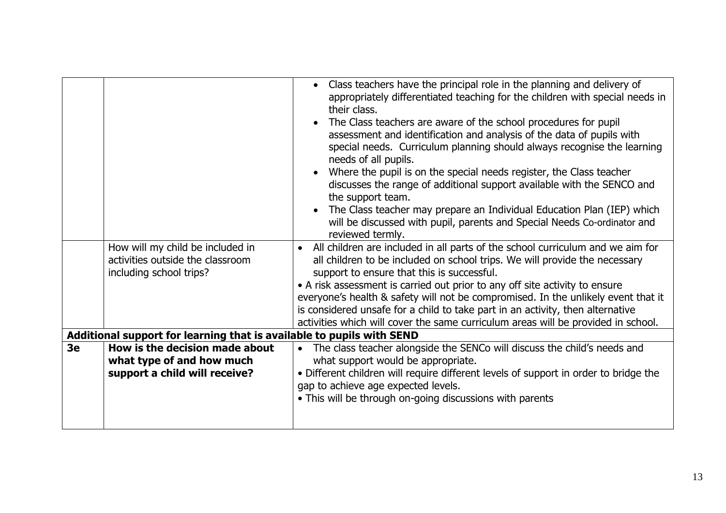|    | How will my child be included in<br>activities outside the classroom<br>including school trips? | Class teachers have the principal role in the planning and delivery of<br>appropriately differentiated teaching for the children with special needs in<br>their class.<br>The Class teachers are aware of the school procedures for pupil<br>assessment and identification and analysis of the data of pupils with<br>special needs. Curriculum planning should always recognise the learning<br>needs of all pupils.<br>Where the pupil is on the special needs register, the Class teacher<br>discusses the range of additional support available with the SENCO and<br>the support team.<br>The Class teacher may prepare an Individual Education Plan (IEP) which<br>will be discussed with pupil, parents and Special Needs Co-ordinator and<br>reviewed termly.<br>All children are included in all parts of the school curriculum and we aim for<br>all children to be included on school trips. We will provide the necessary<br>support to ensure that this is successful.<br>• A risk assessment is carried out prior to any off site activity to ensure<br>everyone's health & safety will not be compromised. In the unlikely event that it |
|----|-------------------------------------------------------------------------------------------------|---------------------------------------------------------------------------------------------------------------------------------------------------------------------------------------------------------------------------------------------------------------------------------------------------------------------------------------------------------------------------------------------------------------------------------------------------------------------------------------------------------------------------------------------------------------------------------------------------------------------------------------------------------------------------------------------------------------------------------------------------------------------------------------------------------------------------------------------------------------------------------------------------------------------------------------------------------------------------------------------------------------------------------------------------------------------------------------------------------------------------------------------------------|
|    |                                                                                                 | is considered unsafe for a child to take part in an activity, then alternative                                                                                                                                                                                                                                                                                                                                                                                                                                                                                                                                                                                                                                                                                                                                                                                                                                                                                                                                                                                                                                                                          |
|    | Additional support for learning that is available to pupils with SEND                           | activities which will cover the same curriculum areas will be provided in school.                                                                                                                                                                                                                                                                                                                                                                                                                                                                                                                                                                                                                                                                                                                                                                                                                                                                                                                                                                                                                                                                       |
| 3e | How is the decision made about<br>what type of and how much<br>support a child will receive?    | The class teacher alongside the SENCo will discuss the child's needs and<br>what support would be appropriate.<br>• Different children will require different levels of support in order to bridge the<br>gap to achieve age expected levels.<br>• This will be through on-going discussions with parents                                                                                                                                                                                                                                                                                                                                                                                                                                                                                                                                                                                                                                                                                                                                                                                                                                               |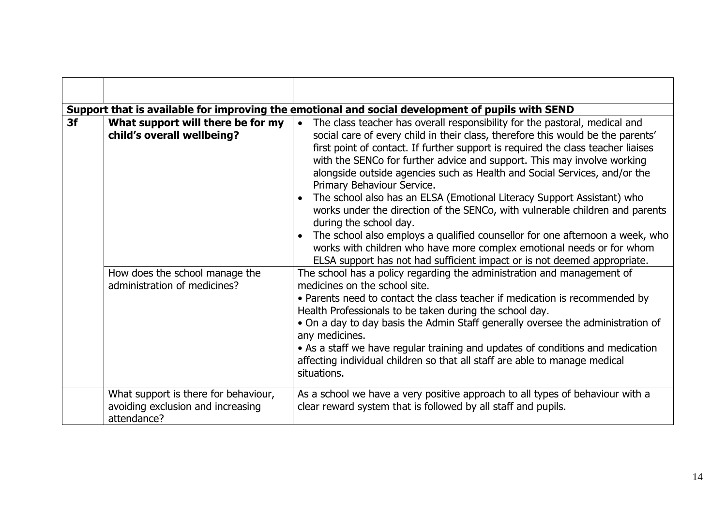|    |                                                                                                                                   | Support that is available for improving the emotional and social development of pupils with SEND                                                                                                                                                                                                                                                                                                                                                                                                                                                                                                                                                                                                                                                                                                                                                                                                                                                                                                                                                                                                                                                                                                                                                                                                                                                                                           |
|----|-----------------------------------------------------------------------------------------------------------------------------------|--------------------------------------------------------------------------------------------------------------------------------------------------------------------------------------------------------------------------------------------------------------------------------------------------------------------------------------------------------------------------------------------------------------------------------------------------------------------------------------------------------------------------------------------------------------------------------------------------------------------------------------------------------------------------------------------------------------------------------------------------------------------------------------------------------------------------------------------------------------------------------------------------------------------------------------------------------------------------------------------------------------------------------------------------------------------------------------------------------------------------------------------------------------------------------------------------------------------------------------------------------------------------------------------------------------------------------------------------------------------------------------------|
| 3f | What support will there be for my<br>child's overall wellbeing?<br>How does the school manage the<br>administration of medicines? | The class teacher has overall responsibility for the pastoral, medical and<br>social care of every child in their class, therefore this would be the parents'<br>first point of contact. If further support is required the class teacher liaises<br>with the SENCo for further advice and support. This may involve working<br>alongside outside agencies such as Health and Social Services, and/or the<br>Primary Behaviour Service.<br>The school also has an ELSA (Emotional Literacy Support Assistant) who<br>works under the direction of the SENCo, with vulnerable children and parents<br>during the school day.<br>The school also employs a qualified counsellor for one afternoon a week, who<br>works with children who have more complex emotional needs or for whom<br>ELSA support has not had sufficient impact or is not deemed appropriate.<br>The school has a policy regarding the administration and management of<br>medicines on the school site.<br>• Parents need to contact the class teacher if medication is recommended by<br>Health Professionals to be taken during the school day.<br>• On a day to day basis the Admin Staff generally oversee the administration of<br>any medicines.<br>• As a staff we have regular training and updates of conditions and medication<br>affecting individual children so that all staff are able to manage medical |
|    |                                                                                                                                   | situations.                                                                                                                                                                                                                                                                                                                                                                                                                                                                                                                                                                                                                                                                                                                                                                                                                                                                                                                                                                                                                                                                                                                                                                                                                                                                                                                                                                                |
|    | What support is there for behaviour,<br>avoiding exclusion and increasing<br>attendance?                                          | As a school we have a very positive approach to all types of behaviour with a<br>clear reward system that is followed by all staff and pupils.                                                                                                                                                                                                                                                                                                                                                                                                                                                                                                                                                                                                                                                                                                                                                                                                                                                                                                                                                                                                                                                                                                                                                                                                                                             |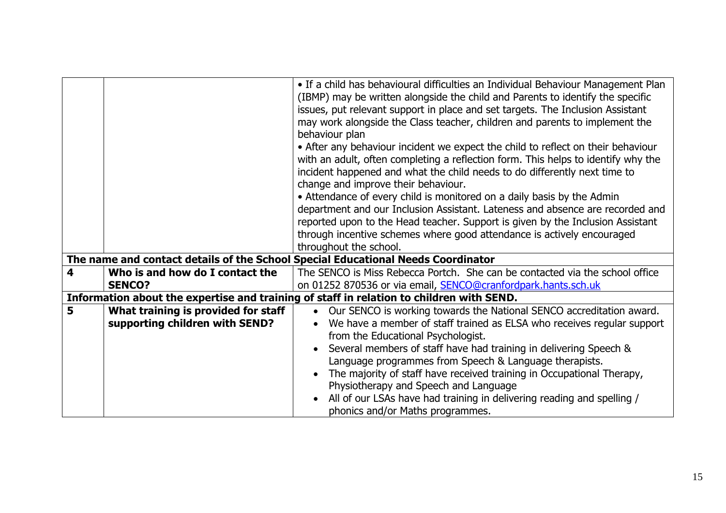|   |                                     | • If a child has behavioural difficulties an Individual Behaviour Management Plan        |
|---|-------------------------------------|------------------------------------------------------------------------------------------|
|   |                                     | (IBMP) may be written alongside the child and Parents to identify the specific           |
|   |                                     | issues, put relevant support in place and set targets. The Inclusion Assistant           |
|   |                                     | may work alongside the Class teacher, children and parents to implement the              |
|   |                                     | behaviour plan                                                                           |
|   |                                     | • After any behaviour incident we expect the child to reflect on their behaviour         |
|   |                                     | with an adult, often completing a reflection form. This helps to identify why the        |
|   |                                     | incident happened and what the child needs to do differently next time to                |
|   |                                     | change and improve their behaviour.                                                      |
|   |                                     | • Attendance of every child is monitored on a daily basis by the Admin                   |
|   |                                     | department and our Inclusion Assistant. Lateness and absence are recorded and            |
|   |                                     | reported upon to the Head teacher. Support is given by the Inclusion Assistant           |
|   |                                     | through incentive schemes where good attendance is actively encouraged                   |
|   |                                     | throughout the school.                                                                   |
|   |                                     | The name and contact details of the School Special Educational Needs Coordinator         |
| 4 | Who is and how do I contact the     | The SENCO is Miss Rebecca Portch. She can be contacted via the school office             |
|   | <b>SENCO?</b>                       | on 01252 870536 or via email, <b>SENCO@cranfordpark.hants.sch.uk</b>                     |
|   |                                     | Information about the expertise and training of staff in relation to children with SEND. |
| 5 | What training is provided for staff | Our SENCO is working towards the National SENCO accreditation award.                     |
|   | supporting children with SEND?      | We have a member of staff trained as ELSA who receives regular support                   |
|   |                                     | from the Educational Psychologist.                                                       |
|   |                                     | Several members of staff have had training in delivering Speech &                        |
|   |                                     | Language programmes from Speech & Language therapists.                                   |
|   |                                     | The majority of staff have received training in Occupational Therapy,                    |
|   |                                     | Physiotherapy and Speech and Language                                                    |
|   |                                     | All of our LSAs have had training in delivering reading and spelling /                   |
|   |                                     | phonics and/or Maths programmes.                                                         |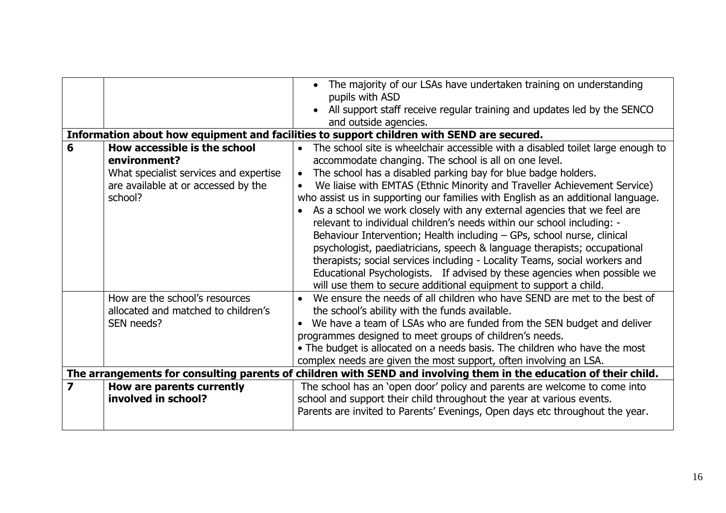|                         |                                        | The majority of our LSAs have undertaken training on understanding<br>pupils with ASD                             |
|-------------------------|----------------------------------------|-------------------------------------------------------------------------------------------------------------------|
|                         |                                        |                                                                                                                   |
|                         |                                        | All support staff receive regular training and updates led by the SENCO                                           |
|                         |                                        | and outside agencies.                                                                                             |
|                         |                                        | Information about how equipment and facilities to support children with SEND are secured.                         |
| 6                       | How accessible is the school           | The school site is wheelchair accessible with a disabled toilet large enough to<br>$\bullet$                      |
|                         | environment?                           | accommodate changing. The school is all on one level.                                                             |
|                         | What specialist services and expertise | The school has a disabled parking bay for blue badge holders.                                                     |
|                         | are available at or accessed by the    | We liaise with EMTAS (Ethnic Minority and Traveller Achievement Service)                                          |
|                         | school?                                | who assist us in supporting our families with English as an additional language.                                  |
|                         |                                        | As a school we work closely with any external agencies that we feel are                                           |
|                         |                                        | relevant to individual children's needs within our school including: -                                            |
|                         |                                        | Behaviour Intervention; Health including - GPs, school nurse, clinical                                            |
|                         |                                        | psychologist, paediatricians, speech & language therapists; occupational                                          |
|                         |                                        | therapists; social services including - Locality Teams, social workers and                                        |
|                         |                                        | Educational Psychologists. If advised by these agencies when possible we                                          |
|                         |                                        | will use them to secure additional equipment to support a child.                                                  |
|                         | How are the school's resources         | We ensure the needs of all children who have SEND are met to the best of                                          |
|                         | allocated and matched to children's    | the school's ability with the funds available.                                                                    |
|                         | SEN needs?                             |                                                                                                                   |
|                         |                                        | We have a team of LSAs who are funded from the SEN budget and deliver                                             |
|                         |                                        | programmes designed to meet groups of children's needs.                                                           |
|                         |                                        | • The budget is allocated on a needs basis. The children who have the most                                        |
|                         |                                        | complex needs are given the most support, often involving an LSA.                                                 |
|                         |                                        | The arrangements for consulting parents of children with SEND and involving them in the education of their child. |
| $\overline{\mathbf{z}}$ | How are parents currently              | The school has an 'open door' policy and parents are welcome to come into                                         |
|                         | involved in school?                    | school and support their child throughout the year at various events.                                             |
|                         |                                        | Parents are invited to Parents' Evenings, Open days etc throughout the year.                                      |
|                         |                                        |                                                                                                                   |
|                         |                                        |                                                                                                                   |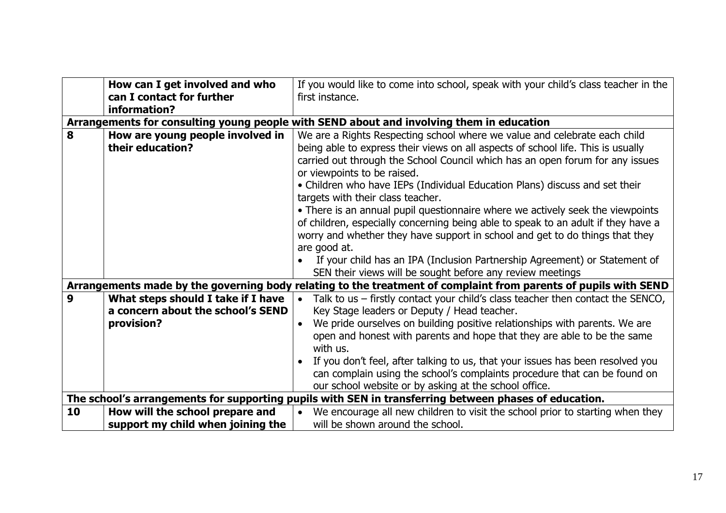|    | How can I get involved and who     | If you would like to come into school, speak with your child's class teacher in the                             |
|----|------------------------------------|-----------------------------------------------------------------------------------------------------------------|
|    | can I contact for further          | first instance.                                                                                                 |
|    | information?                       |                                                                                                                 |
|    |                                    | Arrangements for consulting young people with SEND about and involving them in education                        |
| 8  | How are young people involved in   | We are a Rights Respecting school where we value and celebrate each child                                       |
|    | their education?                   | being able to express their views on all aspects of school life. This is usually                                |
|    |                                    | carried out through the School Council which has an open forum for any issues                                   |
|    |                                    | or viewpoints to be raised.                                                                                     |
|    |                                    | • Children who have IEPs (Individual Education Plans) discuss and set their                                     |
|    |                                    | targets with their class teacher.                                                                               |
|    |                                    | • There is an annual pupil questionnaire where we actively seek the viewpoints                                  |
|    |                                    | of children, especially concerning being able to speak to an adult if they have a                               |
|    |                                    | worry and whether they have support in school and get to do things that they                                    |
|    |                                    | are good at.                                                                                                    |
|    |                                    | If your child has an IPA (Inclusion Partnership Agreement) or Statement of                                      |
|    |                                    | SEN their views will be sought before any review meetings                                                       |
|    |                                    | Arrangements made by the governing body relating to the treatment of complaint from parents of pupils with SEND |
| 9  | What steps should I take if I have | Talk to us - firstly contact your child's class teacher then contact the SENCO,                                 |
|    | a concern about the school's SEND  | Key Stage leaders or Deputy / Head teacher.                                                                     |
|    | provision?                         | We pride ourselves on building positive relationships with parents. We are                                      |
|    |                                    | open and honest with parents and hope that they are able to be the same                                         |
|    |                                    | with us.                                                                                                        |
|    |                                    | If you don't feel, after talking to us, that your issues has been resolved you                                  |
|    |                                    | can complain using the school's complaints procedure that can be found on                                       |
|    |                                    | our school website or by asking at the school office.                                                           |
|    |                                    | The school's arrangements for supporting pupils with SEN in transferring between phases of education.           |
| 10 | How will the school prepare and    | We encourage all new children to visit the school prior to starting when they                                   |
|    | support my child when joining the  | will be shown around the school.                                                                                |